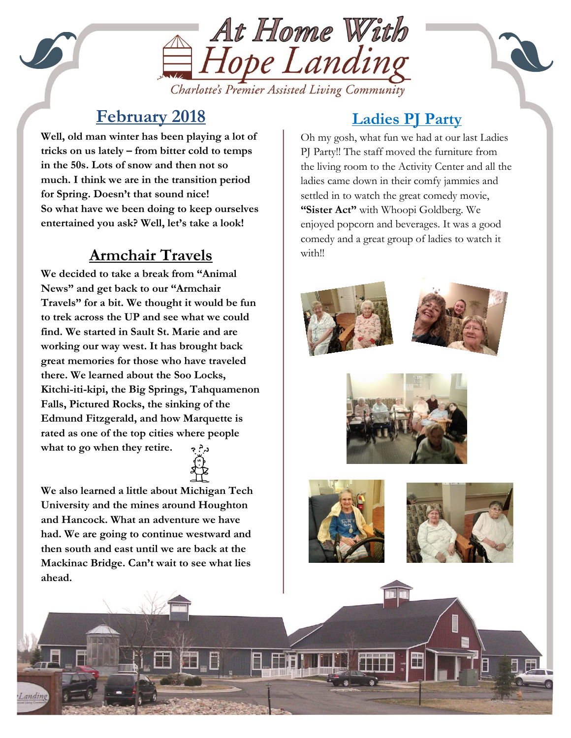

#### Charlotte's Premier Assisted Living Community

## **February 2018**

entertained you ask? Well, let's take a look! **Well, old man winter has been playing a lot of tricks on us lately – from bitter cold to temps in the 50s. Lots of snow and then not so much. I think we are in the transition period for Spring. Doesn't that sound nice! So what have we been doing to keep ourselves** 

# **Armchair Travels**

**We decided to take a break from "Animal News" and get back to our "Armchair Travels" for a bit. We thought it would be fun to trek across the UP and see what we could find. We started in Sault St. Marie and are working our way west. It has brought back great memories for those who have traveled there. We learned about the Soo Locks, Kitchi-iti-kipi, the Big Springs, Tahquamenon Falls, Pictured Rocks, the sinking of the Edmund Fitzgerald, and how Marquette is rated as one of the top cities where people what to go when they retire.** د.<. ډ



### **Ladies PJ Party**

Oh my gosh, what fun we had at our last Ladies PJ Party!! The staff moved the furniture from the living room to the Activity Center and all the ladies came down in their comfy jammies and settled in to watch the great comedy movie, **"Sister Act"** with Whoopi Goldberg. We enjoyed popcorn and beverages. It was a good comedy and a great group of ladies to watch it with!!